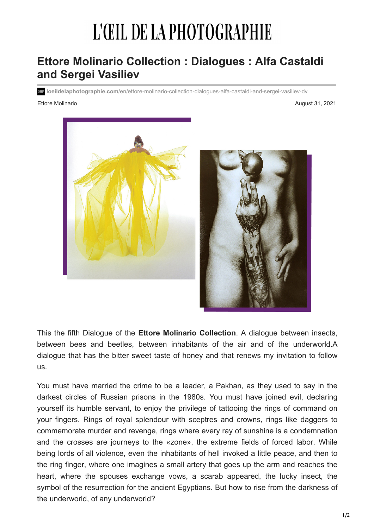# L'ŒIL DE LA PHOTOGRAPHIE

# **Ettore Molinario Collection : Dialogues : Alfa Castaldi and Sergei Vasiliev**

**loeildelaphotographie.com**/en/ettore-molinario-collection-dialogues-alfa-castaldi-and-sergei-vasiliev-dv

Ettore Molinario August 31, 2021





This the fifth Dialogue of the **Ettore Molinario Collection**. A dialogue between insects, between bees and beetles, between inhabitants of the air and of the underworld.A dialogue that has the bitter sweet taste of honey and that renews my invitation to follow us.

You must have married the crime to be a leader, a Pakhan, as they used to say in the darkest circles of Russian prisons in the 1980s. You must have joined evil, declaring yourself its humble servant, to enjoy the privilege of tattooing the rings of command on your fingers. Rings of royal splendour with sceptres and crowns, rings like daggers to commemorate murder and revenge, rings where every ray of sunshine is a condemnation and the crosses are journeys to the «zone», the extreme fields of forced labor. While being lords of all violence, even the inhabitants of hell invoked a little peace, and then to the ring finger, where one imagines a small artery that goes up the arm and reaches the heart, where the spouses exchange vows, a scarab appeared, the lucky insect, the symbol of the resurrection for the ancient Egyptians. But how to rise from the darkness of the underworld, of any underworld?